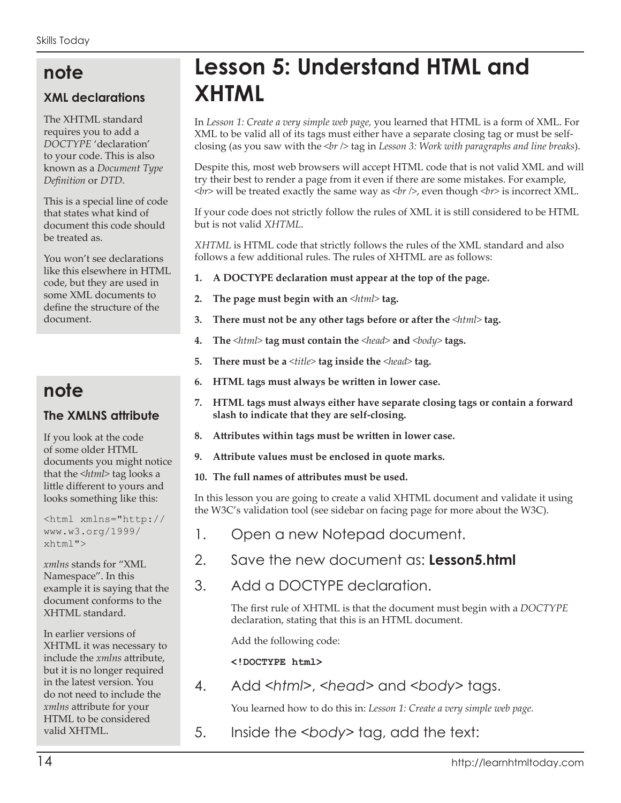## **note**

#### **XML declarations**

The XHTML standard requires you to add a *DOCTYPE* 'declaration' to your code. This is also known as a *Document Type Definition* or *DTD*.

This is a special line of code that states what kind of document this code should be treated as.

You won't see declarations like this elsewhere in HTML code, but they are used in some XML documents to define the structure of the document.

## **note**

#### **The XMLNS attribute**

If you look at the code of some older HTML documents you might notice that the *<html>* tag looks a little different to yours and looks something like this:

<html xmlns="http:// www.w3.org/1999/ xhtml">

*xmlns* stands for "XML Namespace". In this example it is saying that the document conforms to the XHTML standard.

In earlier versions of XHTML it was necessary to include the *xmlns* attribute, but it is no longer required in the latest version. You do not need to include the *xmlns* attribute for your HTML to be considered valid XHTML.

# **Lesson 5: Understand HTML and XHTML**

In *Lesson 1: Create a very simple web page,* you learned that HTML is a form of XML. For XML to be valid all of its tags must either have a separate closing tag or must be selfclosing (as you saw with the *<br />* tag in *Lesson 3: Work with paragraphs and line breaks*).

Despite this, most web browsers will accept HTML code that is not valid XML and will try their best to render a page from it even if there are some mistakes. For example,  $\langle b r \rangle$  will be treated exactly the same way as  $\langle b r \rangle$ , even though  $\langle b r \rangle$  is incorrect XML.

If your code does not strictly follow the rules of XML it is still considered to be HTML but is not valid *XHTML*.

*XHTML* is HTML code that strictly follows the rules of the XML standard and also follows a few additional rules. The rules of XHTML are as follows:

- **1. A DOCTYPE declaration must appear at the top of the page.**
- **2. The page must begin with an** *<html>* **tag.**
- **3. There must not be any other tags before or after the** *<html>* **tag.**
- **4. The** *<html>* **tag must contain the** *<head>* **and** *<body>* **tags.**
- **5. There must be a** *<title>* **tag inside the** *<head>* **tag.**
- **6. HTML tags must always be written in lower case.**
- **7. HTML tags must always either have separate closing tags or contain a forward slash to indicate that they are self-closing.**
- **8. Attributes within tags must be written in lower case.**
- **9. Attribute values must be enclosed in quote marks.**
- **10. The full names of attributes must be used.**

In this lesson you are going to create a valid XHTML document and validate it using the W3C's validation tool (see sidebar on facing page for more about the W3C).

- 1. Open a new Notepad document.
- 2. Save the new document as: **Lesson5.html**
- 3. Add a DOCTYPE declaration.

The first rule of XHTML is that the document must begin with a *DOCTYPE* declaration, stating that this is an HTML document.

Add the following code:

**<!DOCTYPE html>**

4. Add *<html>*, *<head>* and *<body>* tags.

You learned how to do this in: *Lesson 1: Create a very simple web page.*

5. Inside the *<body>* tag, add the text: